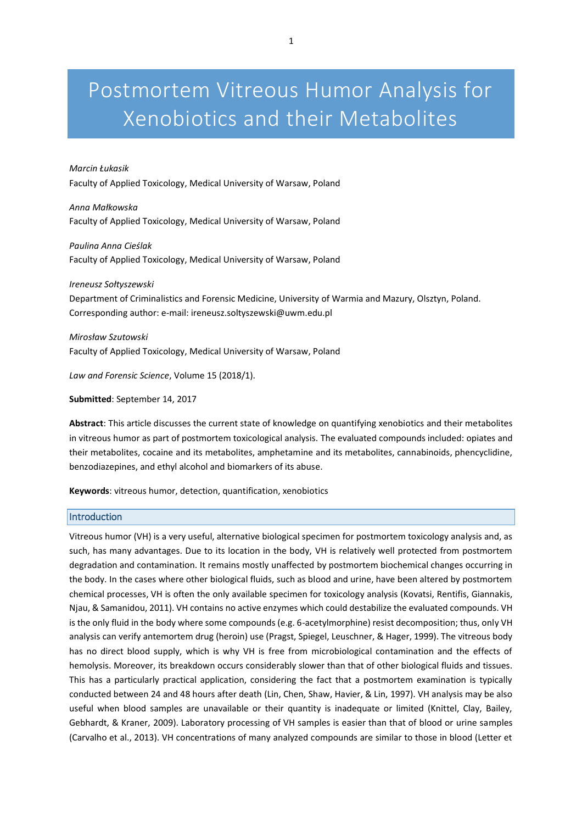# Postmortem Vitreous Humor Analysis for Xenobiotics and their Metabolites

# *Marcin Łukasik*

Faculty of Applied Toxicology, Medical University of Warsaw, Poland

*Anna Małkowska* Faculty of Applied Toxicology, Medical University of Warsaw, Poland

*Paulina Anna Cieślak* Faculty of Applied Toxicology, Medical University of Warsaw, Poland

*Ireneusz Sołtyszewski* Department of Criminalistics and Forensic Medicine, University of Warmia and Mazury, Olsztyn, Poland. Corresponding author: e-mail: ireneusz.soltyszewski@uwm.edu.pl

*Mirosław Szutowski* Faculty of Applied Toxicology, Medical University of Warsaw, Poland

*Law and Forensic Science*, Volume 15 (2018/1).

**Submitted**: September 14, 2017

**Abstract**: This article discusses the current state of knowledge on quantifying xenobiotics and their metabolites in vitreous humor as part of postmortem toxicological analysis. The evaluated compounds included: opiates and their metabolites, cocaine and its metabolites, amphetamine and its metabolites, cannabinoids, phencyclidine, benzodiazepines, and ethyl alcohol and biomarkers of its abuse.

**Keywords**: vitreous humor, detection, quantification, xenobiotics

## **Introduction**

Vitreous humor (VH) is a very useful, alternative biological specimen for postmortem toxicology analysis and, as such, has many advantages. Due to its location in the body, VH is relatively well protected from postmortem degradation and contamination. It remains mostly unaffected by postmortem biochemical changes occurring in the body. In the cases where other biological fluids, such as blood and urine, have been altered by postmortem chemical processes, VH is often the only available specimen for toxicology analysis (Kovatsi, Rentifis, Giannakis, Njau, & Samanidou, 2011). VH contains no active enzymes which could destabilize the evaluated compounds. VH is the only fluid in the body where some compounds (e.g. 6-acetylmorphine) resist decomposition; thus, only VH analysis can verify antemortem drug (heroin) use (Pragst, Spiegel, Leuschner, & Hager, 1999). The vitreous body has no direct blood supply, which is why VH is free from microbiological contamination and the effects of hemolysis. Moreover, its breakdown occurs considerably slower than that of other biological fluids and tissues. This has a particularly practical application, considering the fact that a postmortem examination is typically conducted between 24 and 48 hours after death (Lin, Chen, Shaw, Havier, & Lin, 1997). VH analysis may be also useful when blood samples are unavailable or their quantity is inadequate or limited (Knittel, Clay, Bailey, Gebhardt, & Kraner, 2009). Laboratory processing of VH samples is easier than that of blood or urine samples (Carvalho et al., 2013). VH concentrations of many analyzed compounds are similar to those in blood (Letter et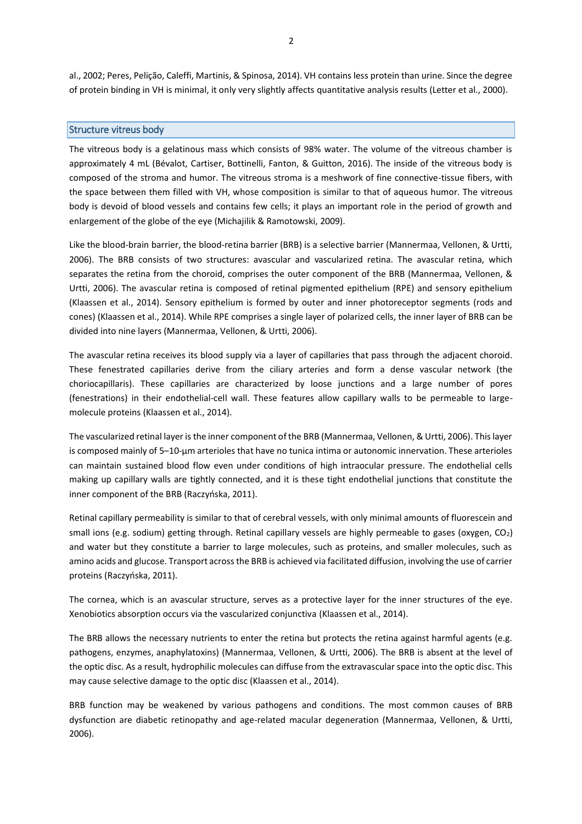al., 2002; Peres, Pelição, Caleffi, Martinis, & Spinosa, 2014). VH contains less protein than urine. Since the degree of protein binding in VH is minimal, it only very slightly affects quantitative analysis results (Letter et al., 2000).

## Structure vitreus body

The vitreous body is a gelatinous mass which consists of 98% water. The volume of the vitreous chamber is approximately 4 mL (Bévalot, Cartiser, Bottinelli, Fanton, & Guitton, 2016). The inside of the vitreous body is composed of the stroma and humor. The vitreous stroma is a meshwork of fine connective-tissue fibers, with the space between them filled with VH, whose composition is similar to that of aqueous humor. The vitreous body is devoid of blood vessels and contains few cells; it plays an important role in the period of growth and enlargement of the globe of the eye (Michajilik & Ramotowski, 2009).

Like the blood-brain barrier, the blood-retina barrier (BRB) is a selective barrier (Mannermaa, Vellonen, & Urtti, 2006). The BRB consists of two structures: avascular and vascularized retina. The avascular retina, which separates the retina from the choroid, comprises the outer component of the BRB (Mannermaa, Vellonen, & Urtti, 2006). The avascular retina is composed of retinal pigmented epithelium (RPE) and sensory epithelium (Klaassen et al., 2014). Sensory epithelium is formed by outer and inner photoreceptor segments (rods and cones) (Klaassen et al., 2014). While RPE comprises a single layer of polarized cells, the inner layer of BRB can be divided into nine layers (Mannermaa, Vellonen, & Urtti, 2006).

The avascular retina receives its blood supply via a layer of capillaries that pass through the adjacent choroid. These fenestrated capillaries derive from the ciliary arteries and form a dense vascular network (the choriocapillaris). These capillaries are characterized by loose junctions and a large number of pores (fenestrations) in their endothelial-cell wall. These features allow capillary walls to be permeable to largemolecule proteins (Klaassen et al., 2014).

The vascularized retinal layer is the inner component of the BRB (Mannermaa, Vellonen, & Urtti, 2006). This layer is composed mainly of 5–10-μm arterioles that have no tunica intima or autonomic innervation. These arterioles can maintain sustained blood flow even under conditions of high intraocular pressure. The endothelial cells making up capillary walls are tightly connected, and it is these tight endothelial junctions that constitute the inner component of the BRB (Raczyńska, 2011).

Retinal capillary permeability is similar to that of cerebral vessels, with only minimal amounts of fluorescein and small ions (e.g. sodium) getting through. Retinal capillary vessels are highly permeable to gases (oxygen,  $CO<sub>2</sub>$ ) and water but they constitute a barrier to large molecules, such as proteins, and smaller molecules, such as amino acids and glucose. Transport across the BRB is achieved via facilitated diffusion, involving the use of carrier proteins (Raczyńska, 2011).

The cornea, which is an avascular structure, serves as a protective layer for the inner structures of the eye. Xenobiotics absorption occurs via the vascularized conjunctiva (Klaassen et al., 2014).

The BRB allows the necessary nutrients to enter the retina but protects the retina against harmful agents (e.g. pathogens, enzymes, anaphylatoxins) (Mannermaa, Vellonen, & Urtti, 2006). The BRB is absent at the level of the optic disc. As a result, hydrophilic molecules can diffuse from the extravascular space into the optic disc. This may cause selective damage to the optic disc (Klaassen et al., 2014).

BRB function may be weakened by various pathogens and conditions. The most common causes of BRB dysfunction are diabetic retinopathy and age-related macular degeneration (Mannermaa, Vellonen, & Urtti, 2006).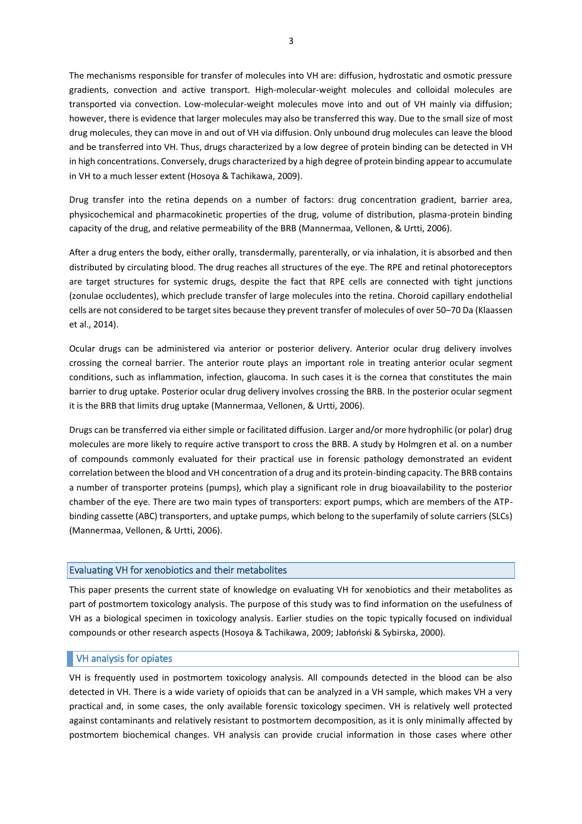The mechanisms responsible for transfer of molecules into VH are: diffusion, hydrostatic and osmotic pressure gradients, convection and active transport. High-molecular-weight molecules and colloidal molecules are transported via convection. Low-molecular-weight molecules move into and out of VH mainly via diffusion; however, there is evidence that larger molecules may also be transferred this way. Due to the small size of most drug molecules, they can move in and out of VH via diffusion. Only unbound drug molecules can leave the blood and be transferred into VH. Thus, drugs characterized by a low degree of protein binding can be detected in VH in high concentrations. Conversely, drugs characterized by a high degree of protein binding appear to accumulate in VH to a much lesser extent (Hosoya & Tachikawa, 2009).

Drug transfer into the retina depends on a number of factors: drug concentration gradient, barrier area, physicochemical and pharmacokinetic properties of the drug, volume of distribution, plasma-protein binding capacity of the drug, and relative permeability of the BRB (Mannermaa, Vellonen, & Urtti, 2006).

After a drug enters the body, either orally, transdermally, parenterally, or via inhalation, it is absorbed and then distributed by circulating blood. The drug reaches all structures of the eye. The RPE and retinal photoreceptors are target structures for systemic drugs, despite the fact that RPE cells are connected with tight junctions (zonulae occludentes), which preclude transfer of large molecules into the retina. Choroid capillary endothelial cells are not considered to be target sites because they prevent transfer of molecules of over 50–70 Da (Klaassen et al., 2014).

Ocular drugs can be administered via anterior or posterior delivery. Anterior ocular drug delivery involves crossing the corneal barrier. The anterior route plays an important role in treating anterior ocular segment conditions, such as inflammation, infection, glaucoma. In such cases it is the cornea that constitutes the main barrier to drug uptake. Posterior ocular drug delivery involves crossing the BRB. In the posterior ocular segment it is the BRB that limits drug uptake (Mannermaa, Vellonen, & Urtti, 2006).

Drugs can be transferred via either simple or facilitated diffusion. Larger and/or more hydrophilic (or polar) drug molecules are more likely to require active transport to cross the BRB. A study by Holmgren et al. on a number of compounds commonly evaluated for their practical use in forensic pathology demonstrated an evident correlation between the blood and VH concentration of a drug and its protein-binding capacity. The BRB contains a number of transporter proteins (pumps), which play a significant role in drug bioavailability to the posterior chamber of the eye. There are two main types of transporters: export pumps, which are members of the ATPbinding cassette (ABC) transporters, and uptake pumps, which belong to the superfamily of solute carriers (SLCs) (Mannermaa, Vellonen, & Urtti, 2006).

# Evaluating VH for xenobiotics and their metabolites

This paper presents the current state of knowledge on evaluating VH for xenobiotics and their metabolites as part of postmortem toxicology analysis. The purpose of this study was to find information on the usefulness of VH as a biological specimen in toxicology analysis. Earlier studies on the topic typically focused on individual compounds or other research aspects (Hosoya & Tachikawa, 2009; Jabłoński & Sybirska, 2000).

# VH analysis for opiates

VH is frequently used in postmortem toxicology analysis. All compounds detected in the blood can be also detected in VH. There is a wide variety of opioids that can be analyzed in a VH sample, which makes VH a very practical and, in some cases, the only available forensic toxicology specimen. VH is relatively well protected against contaminants and relatively resistant to postmortem decomposition, as it is only minimally affected by postmortem biochemical changes. VH analysis can provide crucial information in those cases where other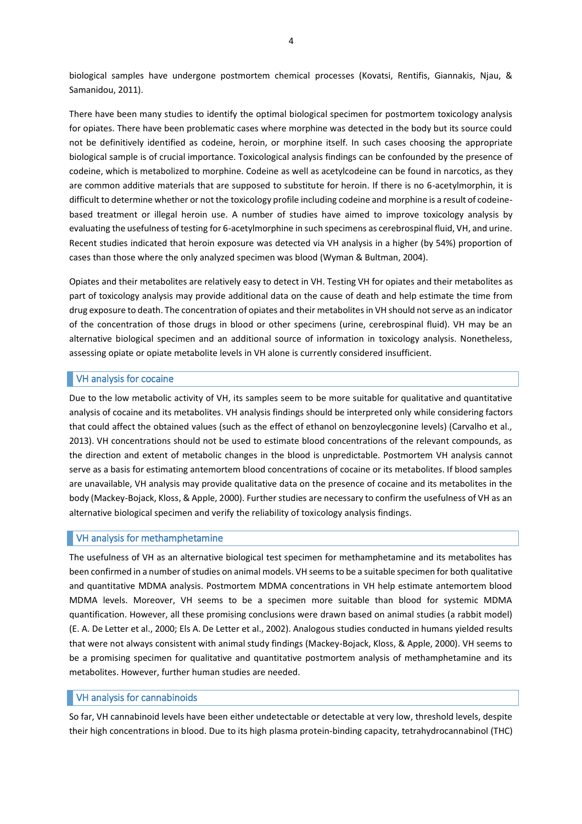biological samples have undergone postmortem chemical processes (Kovatsi, Rentifis, Giannakis, Njau, & Samanidou, 2011).

There have been many studies to identify the optimal biological specimen for postmortem toxicology analysis for opiates. There have been problematic cases where morphine was detected in the body but its source could not be definitively identified as codeine, heroin, or morphine itself. In such cases choosing the appropriate biological sample is of crucial importance. Toxicological analysis findings can be confounded by the presence of codeine, which is metabolized to morphine. Codeine as well as acetylcodeine can be found in narcotics, as they are common additive materials that are supposed to substitute for heroin. If there is no 6-acetylmorphin, it is difficult to determine whether or not the toxicology profile including codeine and morphine is a result of codeinebased treatment or illegal heroin use. A number of studies have aimed to improve toxicology analysis by evaluating the usefulness of testing for 6-acetylmorphine in such specimens as cerebrospinal fluid, VH, and urine. Recent studies indicated that heroin exposure was detected via VH analysis in a higher (by 54%) proportion of cases than those where the only analyzed specimen was blood (Wyman & Bultman, 2004).

Opiates and their metabolites are relatively easy to detect in VH. Testing VH for opiates and their metabolites as part of toxicology analysis may provide additional data on the cause of death and help estimate the time from drug exposure to death. The concentration of opiates and their metabolites in VH should not serve as an indicator of the concentration of those drugs in blood or other specimens (urine, cerebrospinal fluid). VH may be an alternative biological specimen and an additional source of information in toxicology analysis. Nonetheless, assessing opiate or opiate metabolite levels in VH alone is currently considered insufficient.

# VH analysis for cocaine

Due to the low metabolic activity of VH, its samples seem to be more suitable for qualitative and quantitative analysis of cocaine and its metabolites. VH analysis findings should be interpreted only while considering factors that could affect the obtained values (such as the effect of ethanol on benzoylecgonine levels) (Carvalho et al., 2013). VH concentrations should not be used to estimate blood concentrations of the relevant compounds, as the direction and extent of metabolic changes in the blood is unpredictable. Postmortem VH analysis cannot serve as a basis for estimating antemortem blood concentrations of cocaine or its metabolites. If blood samples are unavailable, VH analysis may provide qualitative data on the presence of cocaine and its metabolites in the body (Mackey-Bojack, Kloss, & Apple, 2000). Further studies are necessary to confirm the usefulness of VH as an alternative biological specimen and verify the reliability of toxicology analysis findings.

## VH analysis for methamphetamine

The usefulness of VH as an alternative biological test specimen for methamphetamine and its metabolites has been confirmed in a number of studies on animal models. VH seems to be a suitable specimen for both qualitative and quantitative MDMA analysis. Postmortem MDMA concentrations in VH help estimate antemortem blood MDMA levels. Moreover, VH seems to be a specimen more suitable than blood for systemic MDMA quantification. However, all these promising conclusions were drawn based on animal studies (a rabbit model) (E. A. De Letter et al., 2000; Els A. De Letter et al., 2002). Analogous studies conducted in humans yielded results that were not always consistent with animal study findings (Mackey-Bojack, Kloss, & Apple, 2000). VH seems to be a promising specimen for qualitative and quantitative postmortem analysis of methamphetamine and its metabolites. However, further human studies are needed.

# VH analysis for cannabinoids

So far, VH cannabinoid levels have been either undetectable or detectable at very low, threshold levels, despite their high concentrations in blood. Due to its high plasma protein-binding capacity, tetrahydrocannabinol (THC)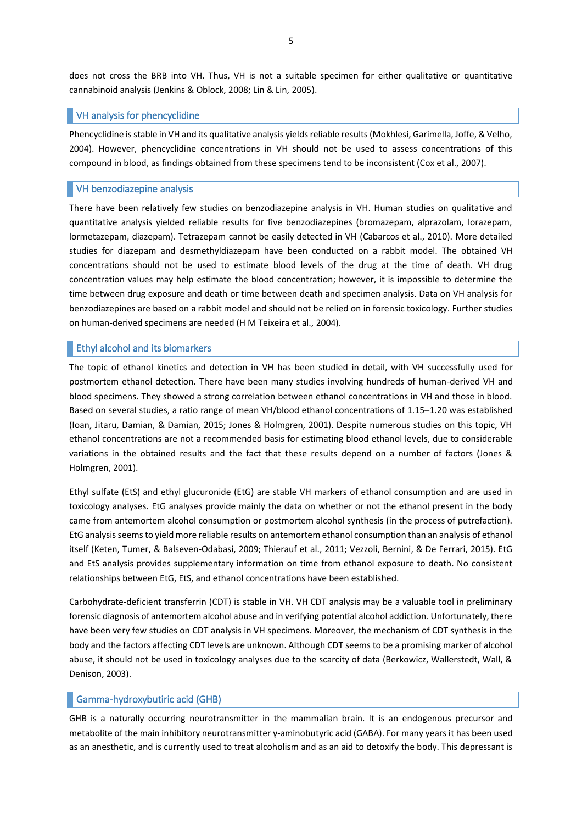does not cross the BRB into VH. Thus, VH is not a suitable specimen for either qualitative or quantitative cannabinoid analysis (Jenkins & Oblock, 2008; Lin & Lin, 2005).

# VH analysis for phencyclidine

Phencyclidine is stable in VH and its qualitative analysis yields reliable results (Mokhlesi, Garimella, Joffe, & Velho, 2004). However, phencyclidine concentrations in VH should not be used to assess concentrations of this compound in blood, as findings obtained from these specimens tend to be inconsistent (Cox et al., 2007).

# VH benzodiazepine analysis

There have been relatively few studies on benzodiazepine analysis in VH. Human studies on qualitative and quantitative analysis yielded reliable results for five benzodiazepines (bromazepam, alprazolam, lorazepam, lormetazepam, diazepam). Tetrazepam cannot be easily detected in VH (Cabarcos et al., 2010). More detailed studies for diazepam and desmethyldiazepam have been conducted on a rabbit model. The obtained VH concentrations should not be used to estimate blood levels of the drug at the time of death. VH drug concentration values may help estimate the blood concentration; however, it is impossible to determine the time between drug exposure and death or time between death and specimen analysis. Data on VH analysis for benzodiazepines are based on a rabbit model and should not be relied on in forensic toxicology. Further studies on human-derived specimens are needed (H M Teixeira et al., 2004).

# **Ethyl alcohol and its biomarkers**

The topic of ethanol kinetics and detection in VH has been studied in detail, with VH successfully used for postmortem ethanol detection. There have been many studies involving hundreds of human-derived VH and blood specimens. They showed a strong correlation between ethanol concentrations in VH and those in blood. Based on several studies, a ratio range of mean VH/blood ethanol concentrations of 1.15–1.20 was established (Ioan, Jitaru, Damian, & Damian, 2015; Jones & Holmgren, 2001). Despite numerous studies on this topic, VH ethanol concentrations are not a recommended basis for estimating blood ethanol levels, due to considerable variations in the obtained results and the fact that these results depend on a number of factors (Jones & Holmgren, 2001).

Ethyl sulfate (EtS) and ethyl glucuronide (EtG) are stable VH markers of ethanol consumption and are used in toxicology analyses. EtG analyses provide mainly the data on whether or not the ethanol present in the body came from antemortem alcohol consumption or postmortem alcohol synthesis (in the process of putrefaction). EtG analysis seems to yield more reliable results on antemortem ethanol consumption than an analysis of ethanol itself (Keten, Tumer, & Balseven-Odabasi, 2009; Thierauf et al., 2011; Vezzoli, Bernini, & De Ferrari, 2015). EtG and EtS analysis provides supplementary information on time from ethanol exposure to death. No consistent relationships between EtG, EtS, and ethanol concentrations have been established.

Carbohydrate-deficient transferrin (CDT) is stable in VH. VH CDT analysis may be a valuable tool in preliminary forensic diagnosis of antemortem alcohol abuse and in verifying potential alcohol addiction. Unfortunately, there have been very few studies on CDT analysis in VH specimens. Moreover, the mechanism of CDT synthesis in the body and the factors affecting CDT levels are unknown. Although CDT seems to be a promising marker of alcohol abuse, it should not be used in toxicology analyses due to the scarcity of data (Berkowicz, Wallerstedt, Wall, & Denison, 2003).

# Gamma-hydroxybutiric acid (GHB)

GHB is a naturally occurring neurotransmitter in the mammalian brain. It is an endogenous precursor and metabolite of the main inhibitory neurotransmitter γ-aminobutyric acid (GABA). For many years it has been used as an anesthetic, and is currently used to treat alcoholism and as an aid to detoxify the body. This depressant is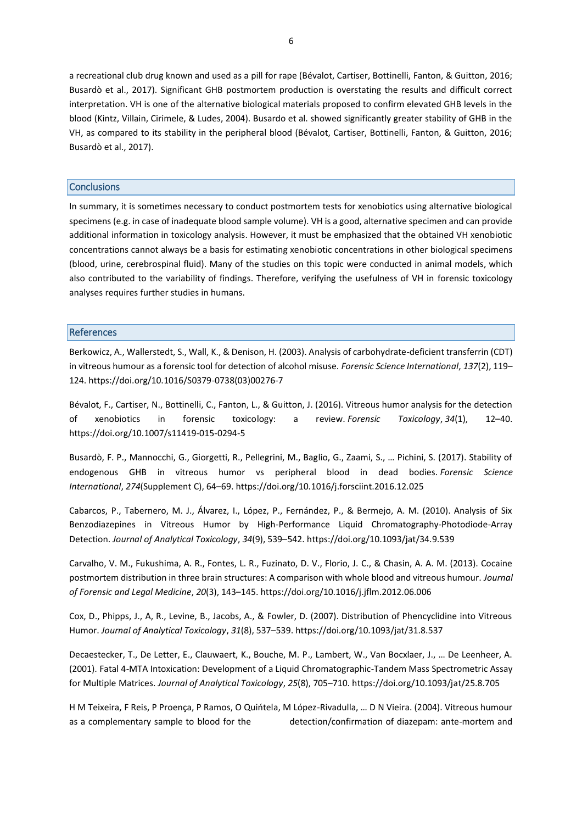a recreational club drug known and used as a pill for rape (Bévalot, Cartiser, Bottinelli, Fanton, & Guitton, 2016; Busardò et al., 2017). Significant GHB postmortem production is overstating the results and difficult correct interpretation. VH is one of the alternative biological materials proposed to confirm elevated GHB levels in the blood (Kintz, Villain, Cirimele, & Ludes, 2004). Busardo et al. showed significantly greater stability of GHB in the VH, as compared to its stability in the peripheral blood (Bévalot, Cartiser, Bottinelli, Fanton, & Guitton, 2016; Busardò et al., 2017).

# Conclusions

In summary, it is sometimes necessary to conduct postmortem tests for xenobiotics using alternative biological specimens (e.g. in case of inadequate blood sample volume). VH is a good, alternative specimen and can provide additional information in toxicology analysis. However, it must be emphasized that the obtained VH xenobiotic concentrations cannot always be a basis for estimating xenobiotic concentrations in other biological specimens (blood, urine, cerebrospinal fluid). Many of the studies on this topic were conducted in animal models, which also contributed to the variability of findings. Therefore, verifying the usefulness of VH in forensic toxicology analyses requires further studies in humans.

## References

Berkowicz, A., Wallerstedt, S., Wall, K., & Denison, H. (2003). Analysis of carbohydrate-deficient transferrin (CDT) in vitreous humour as a forensic tool for detection of alcohol misuse. *Forensic Science International*, *137*(2), 119– 124. https://doi.org/10.1016/S0379-0738(03)00276-7

Bévalot, F., Cartiser, N., Bottinelli, C., Fanton, L., & Guitton, J. (2016). Vitreous humor analysis for the detection of xenobiotics in forensic toxicology: a review. *Forensic Toxicology*, *34*(1), 12–40. https://doi.org/10.1007/s11419-015-0294-5

Busardò, F. P., Mannocchi, G., Giorgetti, R., Pellegrini, M., Baglio, G., Zaami, S., … Pichini, S. (2017). Stability of endogenous GHB in vitreous humor vs peripheral blood in dead bodies. *Forensic Science International*, *274*(Supplement C), 64–69. https://doi.org/10.1016/j.forsciint.2016.12.025

Cabarcos, P., Tabernero, M. J., Álvarez, I., López, P., Fernández, P., & Bermejo, A. M. (2010). Analysis of Six Benzodiazepines in Vitreous Humor by High-Performance Liquid Chromatography-Photodiode-Array Detection. *Journal of Analytical Toxicology*, *34*(9), 539–542. https://doi.org/10.1093/jat/34.9.539

Carvalho, V. M., Fukushima, A. R., Fontes, L. R., Fuzinato, D. V., Florio, J. C., & Chasin, A. A. M. (2013). Cocaine postmortem distribution in three brain structures: A comparison with whole blood and vitreous humour. *Journal of Forensic and Legal Medicine*, *20*(3), 143–145. https://doi.org/10.1016/j.jflm.2012.06.006

Cox, D., Phipps, J., A, R., Levine, B., Jacobs, A., & Fowler, D. (2007). Distribution of Phencyclidine into Vitreous Humor. *Journal of Analytical Toxicology*, *31*(8), 537–539. https://doi.org/10.1093/jat/31.8.537

Decaestecker, T., De Letter, E., Clauwaert, K., Bouche, M. P., Lambert, W., Van Bocxlaer, J., … De Leenheer, A. (2001). Fatal 4-MTA Intoxication: Development of a Liquid Chromatographic-Tandem Mass Spectrometric Assay for Multiple Matrices. *Journal of Analytical Toxicology*, *25*(8), 705–710. https://doi.org/10.1093/jat/25.8.705

H M Teixeira, F Reis, P Proença, P Ramos, O Quińtela, M López-Rivadulla, … D N Vieira. (2004). Vitreous humour as a complementary sample to blood for the detection/confirmation of diazepam: ante-mortem and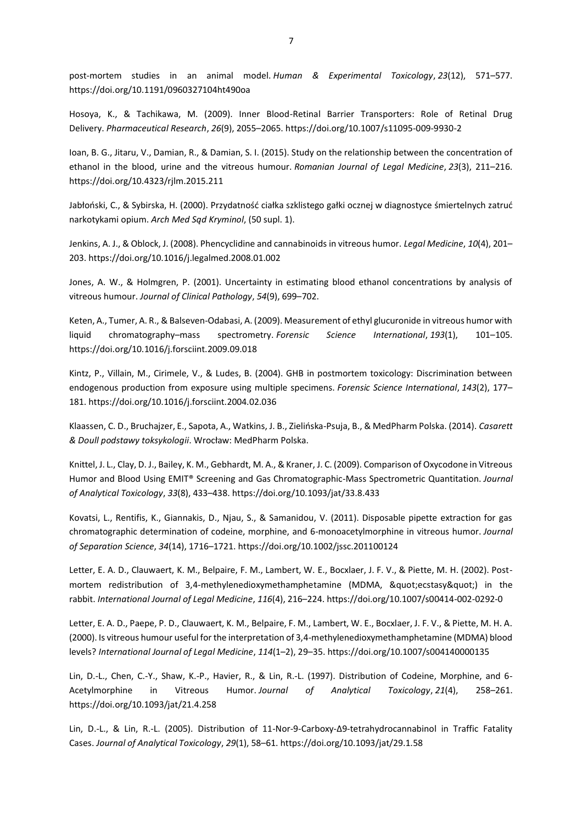post-mortem studies in an animal model. *Human & Experimental Toxicology*, *23*(12), 571–577. https://doi.org/10.1191/0960327104ht490oa

Hosoya, K., & Tachikawa, M. (2009). Inner Blood-Retinal Barrier Transporters: Role of Retinal Drug Delivery. *Pharmaceutical Research*, *26*(9), 2055–2065. https://doi.org/10.1007/s11095-009-9930-2

Ioan, B. G., Jitaru, V., Damian, R., & Damian, S. I. (2015). Study on the relationship between the concentration of ethanol in the blood, urine and the vitreous humour. *Romanian Journal of Legal Medicine*, *23*(3), 211–216. https://doi.org/10.4323/rjlm.2015.211

Jabłoński, C., & Sybirska, H. (2000). Przydatność ciałka szklistego gałki ocznej w diagnostyce śmiertelnych zatruć narkotykami opium. *Arch Med Sąd Kryminol*, (50 supl. 1).

Jenkins, A. J., & Oblock, J. (2008). Phencyclidine and cannabinoids in vitreous humor. *Legal Medicine*, *10*(4), 201– 203. https://doi.org/10.1016/j.legalmed.2008.01.002

Jones, A. W., & Holmgren, P. (2001). Uncertainty in estimating blood ethanol concentrations by analysis of vitreous humour. *Journal of Clinical Pathology*, *54*(9), 699–702.

Keten, A., Tumer, A. R., & Balseven-Odabasi, A. (2009). Measurement of ethyl glucuronide in vitreous humor with liquid chromatography–mass spectrometry. *Forensic Science International*, *193*(1), 101–105. https://doi.org/10.1016/j.forsciint.2009.09.018

Kintz, P., Villain, M., Cirimele, V., & Ludes, B. (2004). GHB in postmortem toxicology: Discrimination between endogenous production from exposure using multiple specimens. *Forensic Science International*, *143*(2), 177– 181. https://doi.org/10.1016/j.forsciint.2004.02.036

Klaassen, C. D., Bruchajzer, E., Sapota, A., Watkins, J. B., Zielińska-Psuja, B., & MedPharm Polska. (2014). *Casarett & Doull podstawy toksykologii*. Wrocław: MedPharm Polska.

Knittel, J. L., Clay, D. J., Bailey, K. M., Gebhardt, M. A., & Kraner, J. C. (2009). Comparison of Oxycodone in Vitreous Humor and Blood Using EMIT® Screening and Gas Chromatographic-Mass Spectrometric Quantitation. *Journal of Analytical Toxicology*, *33*(8), 433–438. https://doi.org/10.1093/jat/33.8.433

Kovatsi, L., Rentifis, K., Giannakis, D., Njau, S., & Samanidou, V. (2011). Disposable pipette extraction for gas chromatographic determination of codeine, morphine, and 6-monoacetylmorphine in vitreous humor. *Journal of Separation Science*, *34*(14), 1716–1721. https://doi.org/10.1002/jssc.201100124

Letter, E. A. D., Clauwaert, K. M., Belpaire, F. M., Lambert, W. E., Bocxlaer, J. F. V., & Piette, M. H. (2002). Postmortem redistribution of 3,4-methylenedioxymethamphetamine (MDMA, "ecstasy") in the rabbit. *International Journal of Legal Medicine*, *116*(4), 216–224. https://doi.org/10.1007/s00414-002-0292-0

Letter, E. A. D., Paepe, P. D., Clauwaert, K. M., Belpaire, F. M., Lambert, W. E., Bocxlaer, J. F. V., & Piette, M. H. A. (2000). Is vitreous humour useful for the interpretation of 3,4-methylenedioxymethamphetamine (MDMA) blood levels? *International Journal of Legal Medicine*, *114*(1–2), 29–35. https://doi.org/10.1007/s004140000135

Lin, D.-L., Chen, C.-Y., Shaw, K.-P., Havier, R., & Lin, R.-L. (1997). Distribution of Codeine, Morphine, and 6- Acetylmorphine in Vitreous Humor. *Journal of Analytical Toxicology*, *21*(4), 258–261. https://doi.org/10.1093/jat/21.4.258

Lin, D.-L., & Lin, R.-L. (2005). Distribution of 11-Nor-9-Carboxy-Δ9-tetrahydrocannabinol in Traffic Fatality Cases. *Journal of Analytical Toxicology*, *29*(1), 58–61. https://doi.org/10.1093/jat/29.1.58